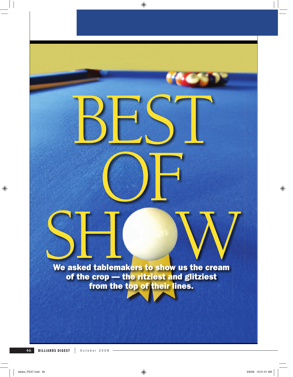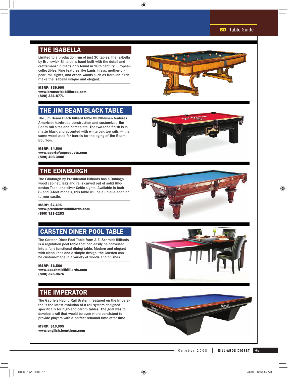### THE ISABELLA

Limited to a production run of just 30 tables, the Isabella by Brunswick Billiards is hand-built with the detail and craftsmanship that's only found in 18th century European collectibles. Fine features like Lapis inlays, mother-ofpearl rail sights, and exotic woods such as Karelian birch make the Isabella unique and elegant.

#### MSRP: \$39,999 www.brunswickbilliards.com (800) 336-8771

## THE JIM BEAM BLACK TABLE

The Jim Beam Black billiard table by Olhausen features American hardwood construction and customized Jim Beam rail sites and nameplate. The two-tone finish is in matte black and accented with white oak top rails — the same wood used for barrels for the aging of Jim Beam Bourbon.

#### MSRP: \$4,500 www.sportsfanproducts.com (800) 493-3408

### THE EDINBURGH

The Edinburgh by Presidential Billiards has a Bubinga wood cabinet, legs and rails carved out of solid Rhodesian Teak, and silver Celtic sights. Available in both 8- and 9-foot models, this table will be a unique addition to your castle.

MSRP: \$7,495 www.presidentialbilliards.com (866) 728-2253

## CARSTEN DINER POOL TABLE

The Carsten Diner Pool Table from A.E. Schmidt Billiards is a regulation pool table that can easily be converted into a fully functional dining table. Modern and elegant with clean lines and a simple design, the Carsten can be custom-made in a variety of woods and finishes.

MSRP: \$6,580 www.aeschmidtbilliards.com (800) 325-9676



### THE IMPERATOR

The Gabriels Hybrid Rail System, featured on the Imperator, is the latest evolution of a rail system designed specifically for high-end carom tables. The goal was to develop a rail that would be even more consistent to provide players with a perfect rebound time after time.

MSRP: \$10,995 www.english.loontjens.com

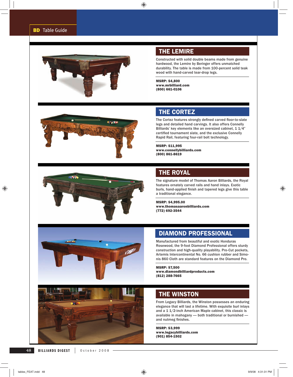

#### THE LEMIRE

Constructed with solid double beams made from genuine hardwood, the Lemire by Beringer offers unmatched durability. The table is made from 100-percent solid teak wood with hand-carved tear-drop legs.

MSRP: \$4,800 www.mrbilliard.com (800) 661-0106



## THE CORTEZ

The Cortez features strongly defined carved floor-to-slate legs and detailed hand carvings. It also offers Connelly Billiards' key elements like an oversized cabinet, 1 1/4" certified tournament slate, and the exclusive Connelly Rapid Rail, featuring four-rail bolt technology.

MSRP: \$11,995 www.connellybilliards.com (800) 861-8619



## THE ROYAL

The signature model of Thomas Aaron Billiards, the Royal features ornately carved rails and hand inlays. Exotic burls, hand-applied finish and tapered legs give this table a traditional elegance.

MSRP: \$4,995.00 www.thomasaaronbilliards.com (772) 692-3544



# DIAMOND PROFESSIONAL

Manufactured from beautiful and exotic Honduras Rosewood, the 9-foot Diamond Professional offers sturdy construction and high-quality playability. Pro-Cut pockets, Artemis Intercontinental No. 66 cushion rubber and Simonis 860 Cloth are standard features on the Diamond Pro.

MSRP: \$7,500 www.diamondbilliardproducts.com (812) 288-7665

### THE WINSTON

From Legacy Billiards, the Winston possesses an enduring elegance that will last a lifetime. With exquisite burl inlays and a 1 1/2-inch American Maple cabinet, this classic is available in mahogany — both traditional or burnished and nutmeg finishes.

MSRP: \$3,999 www.legacybilliards.com (901) 854-1502